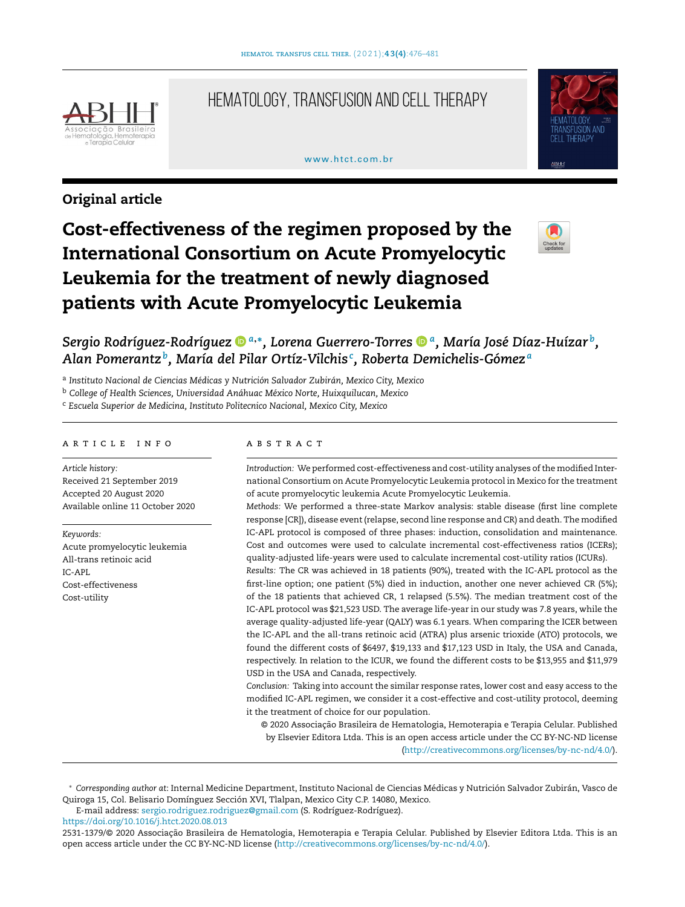

# HEMATOLOGY, TRANSFUSION AND CELL THERAPY

#### www.htct.com.hr



# Original article

# Cost-effectiveness of the regimen proposed by the International Consortium on Acute Promyelocytic Leukemia for the treatment of newly diagnosed patients with Acute Promyelocytic Leukemia



*Sergio Rodríguez-Rodríguez <sup>a</sup>*,<sup>∗</sup> *, Lorena Guerrero-Torre[s](https://orcid.org/0000-0002-8168-3813) <sup>a</sup> , María José Díaz-Huízar <sup>b</sup> , Alan Pomerantz <sup>b</sup> , María del Pilar Ortíz-Vilchis<sup>c</sup> , Roberta Demichelis-Gómez <sup>a</sup>*

a *Instituto Nacional de Ciencias Médicas y Nutrición Salvador Zubirán, Mexico City, Mexico*

<sup>b</sup> *College of Health Sciences, Universidad Anáhuac México Norte, Huixquilucan, Mexico*

<sup>c</sup> *Escuela Superior de Medicina, Instituto Politecnico Nacional, Mexico City, Mexico*

## a r t i c l e i n f o

*Article history:* Received 21 September 2019 Accepted 20 August 2020 Available online 11 October 2020

*Keywords:* Acute promyelocytic leukemia All-trans retinoic acid IC-APL Cost-effectiveness Cost-utility

### a b s t r a c t

*Introduction:* We performed cost-effectiveness and cost-utility analyses ofthe modified International Consortium on Acute Promyelocytic Leukemia protocol in Mexico for the treatment of acute promyelocytic leukemia Acute Promyelocytic Leukemia.

*Methods:* We performed a three-state Markov analysis: stable disease (first line complete response [CR]), disease event (relapse, second line response and CR) and death. The modified IC-APL protocol is composed of three phases: induction, consolidation and maintenance. Cost and outcomes were used to calculate incremental cost-effectiveness ratios (ICERs); quality-adjusted life-years were used to calculate incremental cost-utility ratios (ICURs).

*Results:* The CR was achieved in 18 patients (90%), treated with the IC-APL protocol as the first-line option; one patient (5%) died in induction, another one never achieved CR (5%); of the 18 patients that achieved CR, 1 relapsed (5.5%). The median treatment cost of the IC-APL protocol was \$21,523 USD. The average life-year in our study was 7.8 years, while the average quality-adjusted life-year (QALY) was 6.1 years. When comparing the ICER between the IC-APL and the all-trans retinoic acid (ATRA) plus arsenic trioxide (ATO) protocols, we found the different costs of \$6497, \$19,133 and \$17,123 USD in Italy, the USA and Canada, respectively. In relation to the ICUR, we found the different costs to be \$13,955 and \$11,979 USD in the USA and Canada, respectively.

*Conclusion:* Taking into account the similar response rates, lower cost and easy access to the modified IC-APL regimen, we consider it a cost-effective and cost-utility protocol, deeming it the treatment of choice for our population.

© 2020 Associação Brasileira de Hematologia, Hemoterapia e Terapia Celular. Published by Elsevier Editora Ltda. This is an open access article under the CC BY-NC-ND license [\(http://creativecommons.org/licenses/by-nc-nd/4.0/](http://creativecommons.org/licenses/by-nc-nd/4.0/)).

E-mail address: [sergio.rodriguez.rodriguez@gmail.com](mailto:sergio.rodriguez.rodriguez@gmail.com) (S. Rodríguez-Rodríguez).

<https://doi.org/10.1016/j.htct.2020.08.013>

<sup>∗</sup> *Corresponding author at*: Internal Medicine Department, Instituto Nacional de Ciencias Médicas y Nutrición Salvador Zubirán, Vasco de Quiroga 15, Col. Belisario Domínguez Sección XVI, Tlalpan, Mexico City C.P. 14080, Mexico.

<sup>2531-1379/© 2020</sup> Associação Brasileira de Hematologia, Hemoterapia e Terapia Celular. Published by Elsevier Editora Ltda. This is an open access article under the CC BY-NC-ND license [\(http://creativecommons.org/licenses/by-nc-nd/4.0/](http://creativecommons.org/licenses/by-nc-nd/4.0/)).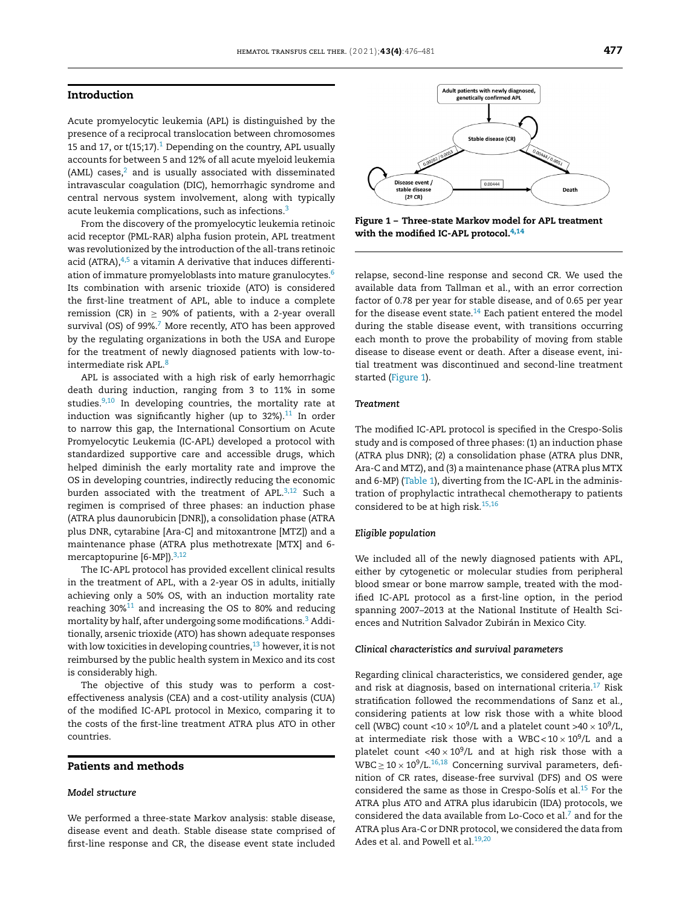#### Introduction

Acute promyelocytic leukemia (APL) is distinguished by the presence of a reciprocal translocation between chromosomes 15 and 17, or  $t(15;17)$ .<sup>1</sup> [D](#page-4-0)epending on the country, APL usually accounts for between 5 and 12% of all acute myeloid leukemia  $(AML)$  cases,<sup>[2](#page-4-0)</sup> and is usually associated with disseminated intravascular coagulation (DIC), hemorrhagic syndrome and central nervous system involvement, along with typically acute leukemia complications, such as infections.<sup>[3](#page-4-0)</sup>

From the discovery of the promyelocytic leukemia retinoic acid receptor (PML-RAR) alpha fusion protein, APL treatment was revolutionized by the introduction of the all-trans retinoic acid (ATRA), $4,5$  a vitamin A derivative that induces differentiation of immature promyeloblasts into mature granulocytes.[6](#page-4-0) Its combination with arsenic trioxide (ATO) is considered the first-line treatment of APL, able to induce a complete remission (CR) in  $\geq$  90% of patients, with a 2-year overall survival (OS) of  $99\%$ .<sup>[7](#page-4-0)</sup> More recently, ATO has been approved by the regulating organizations in both the USA and Europe for the treatment of newly diagnosed patients with low-tointermediate risk APL.[8](#page-4-0)

APL is associated with a high risk of early hemorrhagic death during induction, ranging from 3 to 11% in some studies. $9,10$  In developing countries, the mortality rate at induction was significantly higher (up to  $32\%$ ).<sup>[11](#page-4-0)</sup> In order to narrow this gap, the International Consortium on Acute Promyelocytic Leukemia (IC-APL) developed a protocol with standardized supportive care and accessible drugs, which helped diminish the early mortality rate and improve the OS in developing countries, indirectly reducing the economic burden associated with the treatment of APL.<sup>[3,12](#page-4-0)</sup> Such a regimen is comprised of three phases: an induction phase (ATRA plus daunorubicin [DNR]), a consolidation phase (ATRA plus DNR, cytarabine [Ara-C] and mitoxantrone [MTZ]) and a maintenance phase (ATRA plus methotrexate [MTX] and 6- mercaptopurine [6-MP]).<sup>[3,12](#page-4-0)</sup>

The IC-APL protocol has provided excellent clinical results in the treatment of APL, with a 2-year OS in adults, initially achieving only a 50% OS, with an induction mortality rate reaching  $30\frac{11}{1}$  $30\frac{11}{1}$  $30\frac{11}{1}$  and increasing the OS to 80% and reducing mortality by half, after undergoing some modifications.<sup>3</sup> [A](#page-4-0)dditionally, arsenic trioxide (ATO) has shown adequate responses with low toxicities in developing countries, $13$  however, it is not reimbursed by the public health system in Mexico and its cost is considerably high.

The objective of this study was to perform a costeffectiveness analysis (CEA) and a cost-utility analysis (CUA) of the modified IC-APL protocol in Mexico, comparing it to the costs of the first-line treatment ATRA plus ATO in other countries.

## Patients and methods

#### *Model structure*

We performed a three-state Markov analysis: stable disease, disease event and death. Stable disease state comprised of first-line response and CR, the disease event state included



Figure 1 – Three-state Markov model for APL treatment with the modified IC-APL protocol.<sup>[4,14](#page-4-0)</sup>

relapse, second-line response and second CR. We used the available data from Tallman et al., with an error correction factor of 0.78 per year for stable disease, and of 0.65 per year for the disease event state. $14$  Each patient entered the model during the stable disease event, with transitions occurring each month to prove the probability of moving from stable disease to disease event or death. After a disease event, initial treatment was discontinued and second-line treatment started (Figure 1).

#### *Treatment*

The modified IC-APL protocol is specified in the Crespo-Solis study and is composed of three phases: (1) an induction phase (ATRA plus DNR); (2) a consolidation phase (ATRA plus DNR, Ara-C and MTZ), and (3) a maintenance phase (ATRA plus MTX and 6-MP) ([Table](#page-2-0) 1), diverting from the IC-APL in the administration of prophylactic intrathecal chemotherapy to patients considered to be at high risk.[15,16](#page-4-0)

#### *Eligible population*

We included all of the newly diagnosed patients with APL, either by cytogenetic or molecular studies from peripheral blood smear or bone marrow sample, treated with the modified IC-APL protocol as a first-line option, in the period spanning 2007–2013 at the National Institute of Health Sciences and Nutrition Salvador Zubirán in Mexico City.

#### *Clinical characteristics and survival parameters*

Regarding clinical characteristics, we considered gender, age and risk at diagnosis, based on international criteria.[17](#page-5-0) Risk stratification followed the recommendations of Sanz et al.*,* considering patients at low risk those with a white blood cell (WBC) count <10  $\times$  10<sup>9</sup>/L and a platelet count >40  $\times$  10<sup>9</sup>/L, at intermediate risk those with a WBC< $10 \times 10^9$ /L and a platelet count <40  $\times$  10<sup>9</sup>/L and at high risk those with a WBC  $\geq 10 \times 10^9$ /L.<sup>[16,18](#page-5-0)</sup> Concerning survival parameters, definition of CR rates, disease-free survival (DFS) and OS were considered the same as those in Crespo-Solís et al.<sup>[15](#page-4-0)</sup> For the ATRA plus ATO and ATRA plus idarubicin (IDA) protocols, we considered the data available from Lo-Coco et al.<sup>[7](#page-4-0)</sup> and for the ATRA plus Ara-C or DNR protocol, we considered the data from Ades et al. and Powell et al.<sup>[19,20](#page-5-0)</sup>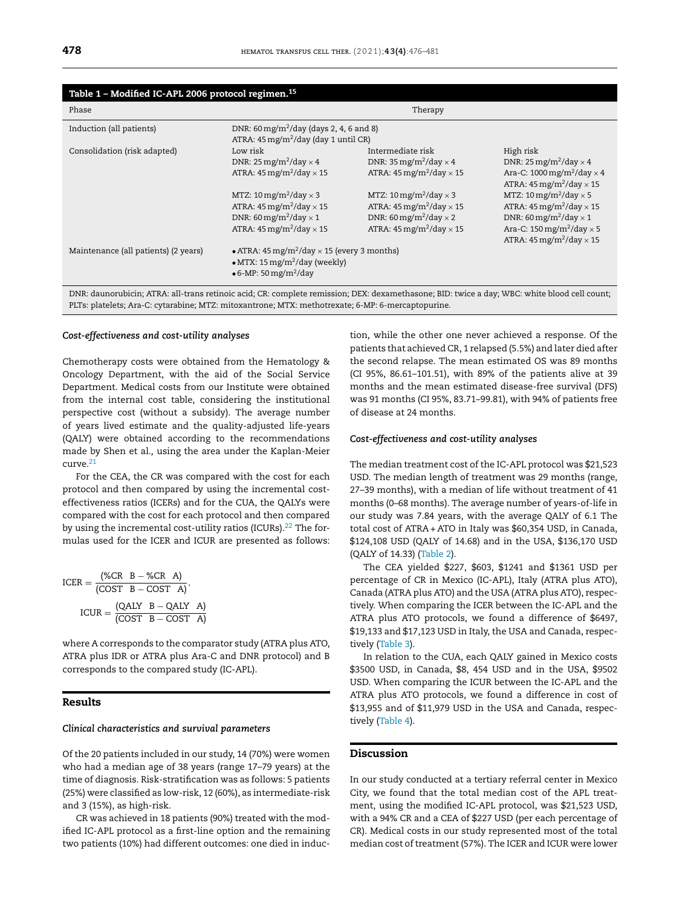<span id="page-2-0"></span>

| Table 1 - Modified IC-APL 2006 protocol regimen. <sup>15</sup>                                                                               |                                                                                                                                                                                   |                                                                                                                                                                                    |                                                                                                                                                                                                                                   |  |  |
|----------------------------------------------------------------------------------------------------------------------------------------------|-----------------------------------------------------------------------------------------------------------------------------------------------------------------------------------|------------------------------------------------------------------------------------------------------------------------------------------------------------------------------------|-----------------------------------------------------------------------------------------------------------------------------------------------------------------------------------------------------------------------------------|--|--|
| Phase                                                                                                                                        | Therapy                                                                                                                                                                           |                                                                                                                                                                                    |                                                                                                                                                                                                                                   |  |  |
| Induction (all patients)                                                                                                                     | DNR: 60 mg/m <sup>2</sup> /day (days 2, 4, 6 and 8)<br>ATRA: $45 \,\mathrm{mg/m^2/day}$ (day 1 until CR)                                                                          |                                                                                                                                                                                    |                                                                                                                                                                                                                                   |  |  |
| Consolidation (risk adapted)                                                                                                                 | Low risk<br>DNR: 25 mg/m <sup>2</sup> /day $\times$ 4<br>ATRA: $45 \,\mathrm{mg/m^2/day} \times 15$                                                                               | Intermediate risk<br>DNR: 35 mg/m <sup>2</sup> /day $\times$ 4<br>ATRA: $45 \,\mathrm{mg/m^2/day} \times 15$                                                                       | High risk<br>DNR: 25 mg/m <sup>2</sup> /day $\times$ 4<br>Ara-C: 1000 mg/m <sup>2</sup> /day $\times$ 4<br>ATRA: $45 \,\mathrm{mg/m^2/day} \times 15$                                                                             |  |  |
|                                                                                                                                              | MTZ: $10 \,\mathrm{mg/m^2/day} \times 3$<br>ATRA: $45 \,\mathrm{mg/m^2/day} \times 15$<br>DNR: 60 mg/m <sup>2</sup> /day $\times$ 1<br>ATRA: $45 \,\mathrm{mg/m^2/day} \times 15$ | MTZ: 10 mg/m <sup>2</sup> /day $\times$ 3<br>ATRA: $45 \,\mathrm{mg/m^2/day} \times 15$<br>DNR: 60 mg/m <sup>2</sup> /day $\times$ 2<br>ATRA: $45 \,\mathrm{mg/m^2/day} \times 15$ | MTZ: $10 \,\mathrm{mg/m^2/day} \times 5$<br>ATRA: $45 \,\mathrm{mg/m^2/day} \times 15$<br>DNR: 60 mg/m <sup>2</sup> /day $\times$ 1<br>Ara-C: 150 mg/m <sup>2</sup> /day $\times$ 5<br>ATRA: $45 \,\mathrm{mg/m^2/day} \times 15$ |  |  |
| Maintenance (all patients) (2 years)                                                                                                         | • ATRA: $45 \,\mathrm{mg/m^2/day} \times 15$ (every 3 months)<br>• MTX: $15 \,\mathrm{mg/m^2/day}$ (weekly)<br>$\bullet$ 6-MP: 50 mg/m <sup>2</sup> /day                          |                                                                                                                                                                                    |                                                                                                                                                                                                                                   |  |  |
| DNR: daunorubicin; ATRA: all-trans retinoic acid; CR: complete remission; DEX: dexamethasone; BID: twice a day; WBC: white blood cell count; |                                                                                                                                                                                   |                                                                                                                                                                                    |                                                                                                                                                                                                                                   |  |  |

PLTs: platelets; Ara-C: cytarabine; MTZ: mitoxantrone; MTX: methotrexate; 6-MP: 6-mercaptopurine.

#### *Cost-effectiveness and cost-utility analyses*

Chemotherapy costs were obtained from the Hematology & Oncology Department, with the aid of the Social Service Department. Medical costs from our Institute were obtained from the internal cost table, considering the institutional perspective cost (without a subsidy). The average number of years lived estimate and the quality-adjusted life-years (QALY) were obtained according to the recommendations made by Shen et al.*,* using the area under the Kaplan-Meier curve.<sup>[21](#page-5-0)</sup>

For the CEA, the CR was compared with the cost for each protocol and then compared by using the incremental costeffectiveness ratios (ICERs) and for the CUA, the QALYs were compared with the cost for each protocol and then compared by using the incremental cost-utility ratios (ICURs). $^{22}$  $^{22}$  $^{22}$  The formulas used for the ICER and ICUR are presented as follows:

$$
ICER = \frac{(\%CR \quad B - \%CR \quad A)}{(\text{COST} \quad B - \text{COST} \quad A)},
$$

$$
ICUR = \frac{(\text{QALY} \quad B - \text{QALY} \quad A)}{(\text{COST} \quad B - \text{COST} \quad A)}
$$

where A corresponds to the comparator study (ATRA plus ATO, ATRA plus IDR or ATRA plus Ara-C and DNR protocol) and B corresponds to the compared study (IC-APL).

# Results

#### *Clinical characteristics and survival parameters*

Of the 20 patients included in our study, 14 (70%) were women who had a median age of 38 years (range 17–79 years) at the time of diagnosis. Risk-stratification was as follows: 5 patients (25%) were classified as low-risk, 12 (60%), as intermediate-risk and 3 (15%), as high-risk.

CR was achieved in 18 patients (90%) treated with the modified IC-APL protocol as a first-line option and the remaining two patients (10%) had different outcomes: one died in induction, while the other one never achieved a response. Of the patients that achieved CR, 1 relapsed (5.5%) and later died after the second relapse. The mean estimated OS was 89 months (CI 95%, 86.61–101.51), with 89% of the patients alive at 39 months and the mean estimated disease-free survival (DFS) was 91 months (CI 95%, 83.71–99.81), with 94% of patients free of disease at 24 months.

#### *Cost-effectiveness and cost-utility analyses*

The median treatment cost of the IC-APL protocol was \$21,523 USD. The median length of treatment was 29 months (range, 27–39 months), with a median of life without treatment of 41 months (0–68 months). The average number of years-of-life in our study was 7.84 years, with the average QALY of 6.1 The total cost of ATRA + ATO in Italy was \$60,354 USD, in Canada, \$124,108 USD (QALY of 14.68) and in the USA, \$136,170 USD (QALY of 14.33) [\(Table](#page-3-0) 2).

The CEA yielded \$227, \$603, \$1241 and \$1361 USD per percentage of CR in Mexico (IC-APL), Italy (ATRA plus ATO), Canada (ATRA plus ATO) and the USA (ATRA plus ATO), respectively. When comparing the ICER between the IC-APL and the ATRA plus ATO protocols, we found a difference of \$6497, \$19,133 and \$17,123 USD in Italy, the USA and Canada, respectively ([Table](#page-3-0) 3).

In relation to the CUA, each QALY gained in Mexico costs \$3500 USD, in Canada, \$8, 454 USD and in the USA, \$9502 USD. When comparing the ICUR between the IC-APL and the ATRA plus ATO protocols, we found a difference in cost of \$13,955 and of \$11,979 USD in the USA and Canada, respectively ([Table](#page-3-0) 4).

# Discussion

In our study conducted at a tertiary referral center in Mexico City, we found that the total median cost of the APL treatment, using the modified IC-APL protocol, was \$21,523 USD, with a 94% CR and a CEA of \$227 USD (per each percentage of CR). Medical costs in our study represented most of the total median cost of treatment (57%). The ICER and ICUR were lower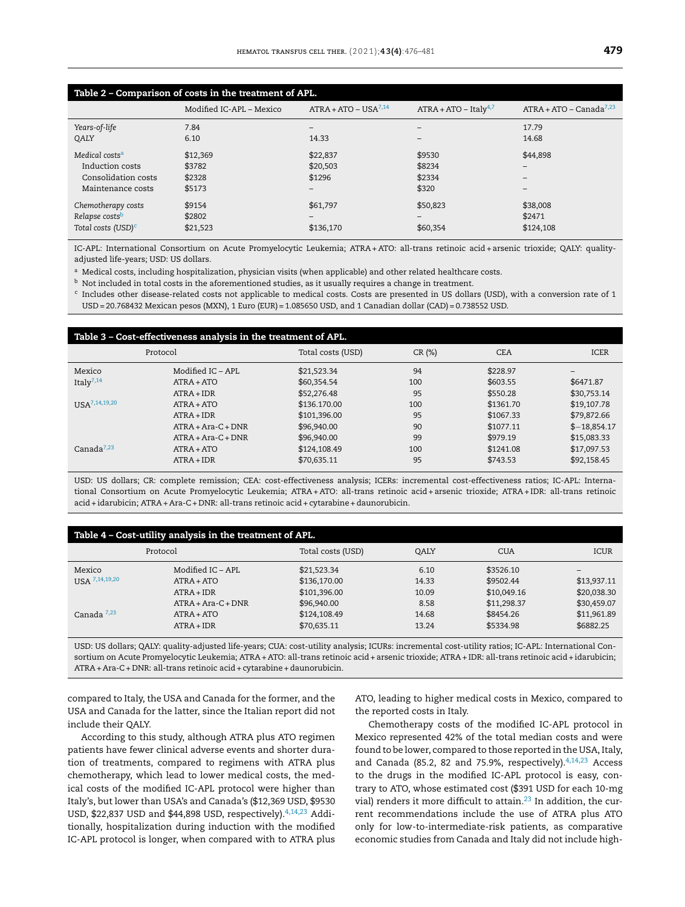<span id="page-3-0"></span>

| Table 2 - Comparison of costs in the treatment of APL. |                          |                           |                         |                              |  |
|--------------------------------------------------------|--------------------------|---------------------------|-------------------------|------------------------------|--|
|                                                        | Modified IC-APL - Mexico | $ATRA + ATO - USA^{7,14}$ | $ATRA + ATO - Italy4,7$ | $ATRA + ATO - Canada^{7,23}$ |  |
| Years-of-life                                          | 7.84                     |                           |                         | 17.79                        |  |
| QALY                                                   | 6.10                     | 14.33                     | -                       | 14.68                        |  |
| Medical costs <sup>a</sup>                             | \$12,369                 | \$22,837                  | \$9530                  | \$44,898                     |  |
| Induction costs                                        | \$3782                   | \$20,503                  | \$8234                  |                              |  |
| Consolidation costs                                    | \$2328                   | \$1296                    | \$2334                  |                              |  |
| Maintenance costs                                      | \$5173                   |                           | \$320                   |                              |  |
| Chemotherapy costs                                     | \$9154                   | \$61,797                  | \$50,823                | \$38,008                     |  |
| Relapse costs <sup>b</sup>                             | \$2802                   | $\overline{\phantom{0}}$  | -                       | \$2471                       |  |
| Total costs (USD) <sup>c</sup>                         | \$21,523                 | \$136,170                 | \$60,354                | \$124,108                    |  |

IC-APL: International Consortium on Acute Promyelocytic Leukemia; ATRA + ATO: all-trans retinoic acid + arsenic trioxide; QALY: qualityadjusted life-years; USD: US dollars.

a Medical costs, including hospitalization, physician visits (when applicable) and other related healthcare costs.

 $^{\rm b}$  Not included in total costs in the aforementioned studies, as it usually requires a change in treatment.

 $\cdot$  Includes other disease-related costs not applicable to medical costs. Costs are presented in US dollars (USD), with a conversion rate of 1 USD = 20.768432 Mexican pesos (MXN), 1 Euro (EUR) = 1.085650 USD, and 1 Canadian dollar (CAD) = 0.738552 USD.

| Table 3 – Cost-effectiveness analysis in the treatment of APL. |                      |                   |       |            |                |
|----------------------------------------------------------------|----------------------|-------------------|-------|------------|----------------|
|                                                                | Protocol             | Total costs (USD) | CR(%) | <b>CEA</b> | <b>ICER</b>    |
| Mexico                                                         | Modified $IC - APL$  | \$21,523.34       | 94    | \$228.97   |                |
| Italy <sup>7,14</sup>                                          | ATRA + ATO           | \$60,354.54       | 100   | \$603.55   | \$6471.87      |
|                                                                | $ATRA + IDR$         | \$52,276.48       | 95    | \$550.28   | \$30,753.14    |
| IISA <sup>7,14,19,20</sup>                                     | $ATRA + ATO$         | \$136,170,00      | 100   | \$1361.70  | \$19,107.78    |
|                                                                | $ATRA + IDR$         | \$101,396.00      | 95    | \$1067.33  | \$79,872.66    |
|                                                                | $ATRA + Ara-C + DNR$ | \$96,940.00       | 90    | \$1077.11  | $$ -18,854.17$ |
|                                                                | $ATRA + Ara-C + DNR$ | \$96,940.00       | 99    | \$979.19   | \$15,083.33    |
| Canada $^{7,23}$                                               | $ATRA + ATO$         | \$124,108.49      | 100   | \$1241.08  | \$17,097.53    |
|                                                                | $ATRA + IDR$         | \$70,635.11       | 95    | \$743.53   | \$92,158.45    |
|                                                                |                      |                   |       |            |                |

USD: US dollars; CR: complete remission; CEA: cost-effectiveness analysis; ICERs: incremental cost-effectiveness ratios; IC-APL: International Consortium on Acute Promyelocytic Leukemia; ATRA + ATO: all-trans retinoic acid + arsenic trioxide; ATRA + IDR: all-trans retinoic acid + idarubicin; ATRA + Ara-C+ DNR: all-trans retinoic acid + cytarabine + daunorubicin.

| Table 4 – Cost-utility analysis in the treatment of APL. |  |  |  |
|----------------------------------------------------------|--|--|--|
|----------------------------------------------------------|--|--|--|

|                        | Protocol             | Total costs (USD) | OALY  | CUA         | <b>ICUR</b>              |
|------------------------|----------------------|-------------------|-------|-------------|--------------------------|
| Mexico                 | Modified IC – APL    | \$21,523.34       | 6.10  | \$3526.10   | $\overline{\phantom{0}}$ |
| USA 7,14,19,20         | ATRA + ATO           | \$136,170.00      | 14.33 | \$9502.44   | \$13,937.11              |
|                        | $ATRA + IDR$         | \$101,396.00      | 10.09 | \$10,049.16 | \$20,038.30              |
|                        | $ATRA + Ara-C + DNR$ | \$96,940.00       | 8.58  | \$11,298.37 | \$30,459.07              |
| Canada <sup>7,23</sup> | $ATRA + ATO$         | \$124,108.49      | 14.68 | \$8454.26   | \$11,961.89              |
|                        | $ATRA + IDR$         | \$70,635.11       | 13.24 | \$5334.98   | \$6882.25                |
|                        |                      |                   |       |             |                          |

USD: US dollars; QALY: quality-adjusted life-years; CUA: cost-utility analysis; ICURs: incremental cost-utility ratios; IC-APL: International Consortium on Acute Promyelocytic Leukemia; ATRA + ATO: all-trans retinoic acid + arsenic trioxide; ATRA + IDR: all-trans retinoic acid + idarubicin; ATRA + Ara-C+ DNR: all-trans retinoic acid + cytarabine + daunorubicin.

compared to Italy, the USA and Canada for the former, and the USA and Canada for the latter, since the Italian report did not include their QALY.

According to this study, although ATRA plus ATO regimen patients have fewer clinical adverse events and shorter duration of treatments, compared to regimens with ATRA plus chemotherapy, which lead to lower medical costs, the medical costs of the modified IC-APL protocol were higher than Italy's, but lower than USA's and Canada's (\$12,369 USD, \$9530 USD, \$22,837 USD and \$44,898 USD, respectively).<sup>[4,14,23](#page-4-0)</sup> Additionally, hospitalization during induction with the modified IC-APL protocol is longer, when compared with to ATRA plus ATO, leading to higher medical costs in Mexico, compared to the reported costs in Italy.

Chemotherapy costs of the modified IC-APL protocol in Mexico represented 42% of the total median costs and were found to be lower, compared to those reported in the USA, Italy, and Canada (85.2, 82 and 75.9%, respectively).<sup>[4,14,23](#page-4-0)</sup> Access to the drugs in the modified IC-APL protocol is easy, contrary to ATO, whose estimated cost (\$391 USD for each 10-mg vial) renders it more difficult to attain. $^{23}$  $^{23}$  $^{23}$  In addition, the current recommendations include the use of ATRA plus ATO only for low-to-intermediate-risk patients, as comparative economic studies from Canada and Italy did not include high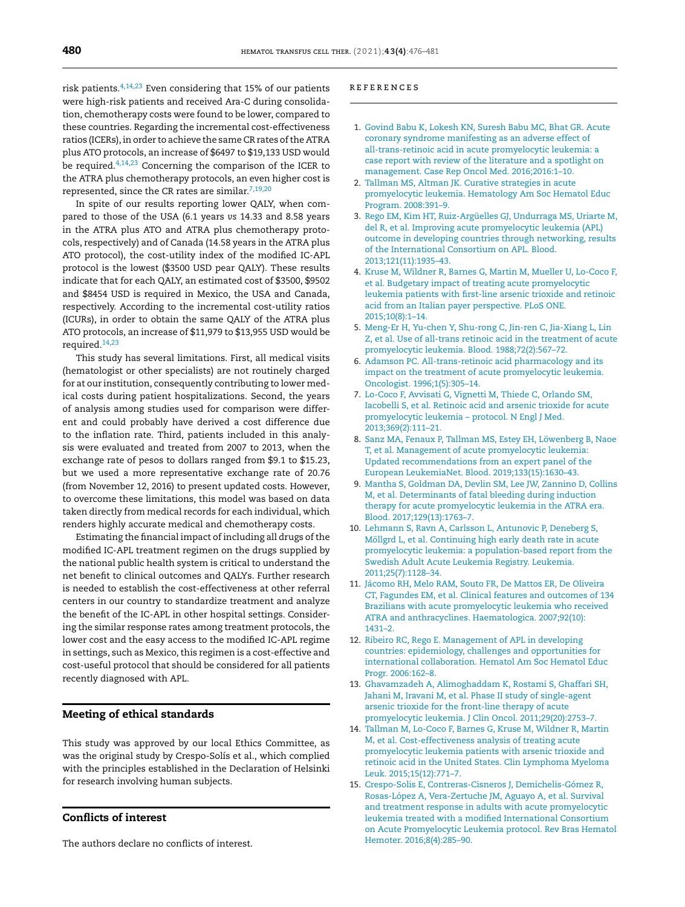<span id="page-4-0"></span>risk patients.4,14,23 Even considering that 15% of our patients were high-risk patients and received Ara-C during consolidation, chemotherapy costs were found to be lower, compared to these countries. Regarding the incremental cost-effectiveness ratios (ICERs), in order to achieve the same CR rates of the ATRA plus ATO protocols, an increase of \$6497 to \$19,133 USD would be required.<sup>4,14,23</sup> Concerning the comparison of the ICER to the ATRA plus chemotherapy protocols, an even higher cost is represented, since the CR rates are similar. $^{7,19,20}$ 

In spite of our results reporting lower QALY, when compared to those of the USA (6.1 years *vs* 14.33 and 8.58 years in the ATRA plus ATO and ATRA plus chemotherapy protocols, respectively) and of Canada (14.58 years in the ATRA plus ATO protocol), the cost-utility index of the modified IC-APL protocol is the lowest (\$3500 USD pear QALY). These results indicate that for each QALY, an estimated cost of \$3500, \$9502 and \$8454 USD is required in Mexico, the USA and Canada, respectively. According to the incremental cost-utility ratios (ICURs), in order to obtain the same QALY of the ATRA plus ATO protocols, an increase of \$11,979 to \$13,955 USD would be required.14,23

This study has several limitations. First, all medical visits (hematologist or other specialists) are not routinely charged for at our institution, consequently contributing to lower medical costs during patient hospitalizations. Second, the years of analysis among studies used for comparison were different and could probably have derived a cost difference due to the inflation rate. Third, patients included in this analysis were evaluated and treated from 2007 to 2013, when the exchange rate of pesos to dollars ranged from \$9.1 to \$15.23, but we used a more representative exchange rate of 20.76 (from November 12, 2016) to present updated costs. However, to overcome these limitations, this model was based on data taken directly from medical records for each individual, which renders highly accurate medical and chemotherapy costs.

Estimating the financial impact of including all drugs of the modified IC-APL treatment regimen on the drugs supplied by the national public health system is critical to understand the net benefit to clinical outcomes and QALYs. Further research is needed to establish the cost-effectiveness at other referral centers in our country to standardize treatment and analyze the benefit of the IC-APL in other hospital settings. Considering the similar response rates among treatment protocols, the lower cost and the easy access to the modified IC-APL regime in settings, such as Mexico, this regimen is a cost-effective and cost-useful protocol that should be considered for all patients recently diagnosed with APL.

# Meeting of ethical standards

This study was approved by our local Ethics Committee, as was the original study by Crespo-Solís et al., which complied with the principles established in the Declaration of Helsinki for research involving human subjects.

# Conflicts of interest

The authors declare no conflicts of interest.

#### **REFERENCES**

- 1. [Govind](http://refhub.elsevier.com/S2531-1379(20)30284-4/sbref0005) [Babu](http://refhub.elsevier.com/S2531-1379(20)30284-4/sbref0005) [K,](http://refhub.elsevier.com/S2531-1379(20)30284-4/sbref0005) [Lokesh](http://refhub.elsevier.com/S2531-1379(20)30284-4/sbref0005) [KN,](http://refhub.elsevier.com/S2531-1379(20)30284-4/sbref0005) [Suresh](http://refhub.elsevier.com/S2531-1379(20)30284-4/sbref0005) [Babu](http://refhub.elsevier.com/S2531-1379(20)30284-4/sbref0005) [MC,](http://refhub.elsevier.com/S2531-1379(20)30284-4/sbref0005) [Bhat](http://refhub.elsevier.com/S2531-1379(20)30284-4/sbref0005) [GR.](http://refhub.elsevier.com/S2531-1379(20)30284-4/sbref0005) [Acute](http://refhub.elsevier.com/S2531-1379(20)30284-4/sbref0005) [coronary](http://refhub.elsevier.com/S2531-1379(20)30284-4/sbref0005) [syndrome](http://refhub.elsevier.com/S2531-1379(20)30284-4/sbref0005) [manifesting](http://refhub.elsevier.com/S2531-1379(20)30284-4/sbref0005) [as](http://refhub.elsevier.com/S2531-1379(20)30284-4/sbref0005) [an](http://refhub.elsevier.com/S2531-1379(20)30284-4/sbref0005) [adverse](http://refhub.elsevier.com/S2531-1379(20)30284-4/sbref0005) [effect](http://refhub.elsevier.com/S2531-1379(20)30284-4/sbref0005) [of](http://refhub.elsevier.com/S2531-1379(20)30284-4/sbref0005) [all-trans-retinoic](http://refhub.elsevier.com/S2531-1379(20)30284-4/sbref0005) [acid](http://refhub.elsevier.com/S2531-1379(20)30284-4/sbref0005) [in](http://refhub.elsevier.com/S2531-1379(20)30284-4/sbref0005) [acute](http://refhub.elsevier.com/S2531-1379(20)30284-4/sbref0005) [promyelocytic](http://refhub.elsevier.com/S2531-1379(20)30284-4/sbref0005) [leukemia:](http://refhub.elsevier.com/S2531-1379(20)30284-4/sbref0005) [a](http://refhub.elsevier.com/S2531-1379(20)30284-4/sbref0005) [case](http://refhub.elsevier.com/S2531-1379(20)30284-4/sbref0005) [report](http://refhub.elsevier.com/S2531-1379(20)30284-4/sbref0005) [with](http://refhub.elsevier.com/S2531-1379(20)30284-4/sbref0005) [review](http://refhub.elsevier.com/S2531-1379(20)30284-4/sbref0005) [of](http://refhub.elsevier.com/S2531-1379(20)30284-4/sbref0005) [the](http://refhub.elsevier.com/S2531-1379(20)30284-4/sbref0005) [literature](http://refhub.elsevier.com/S2531-1379(20)30284-4/sbref0005) [and](http://refhub.elsevier.com/S2531-1379(20)30284-4/sbref0005) [a](http://refhub.elsevier.com/S2531-1379(20)30284-4/sbref0005) [spotlight](http://refhub.elsevier.com/S2531-1379(20)30284-4/sbref0005) [on](http://refhub.elsevier.com/S2531-1379(20)30284-4/sbref0005) [management.](http://refhub.elsevier.com/S2531-1379(20)30284-4/sbref0005) [Case](http://refhub.elsevier.com/S2531-1379(20)30284-4/sbref0005) [Rep](http://refhub.elsevier.com/S2531-1379(20)30284-4/sbref0005) [Oncol](http://refhub.elsevier.com/S2531-1379(20)30284-4/sbref0005) [Med.](http://refhub.elsevier.com/S2531-1379(20)30284-4/sbref0005) [2016;2016:1](http://refhub.elsevier.com/S2531-1379(20)30284-4/sbref0005)–[10.](http://refhub.elsevier.com/S2531-1379(20)30284-4/sbref0005)
- 2. [Tallman](http://refhub.elsevier.com/S2531-1379(20)30284-4/sbref0010) [MS,](http://refhub.elsevier.com/S2531-1379(20)30284-4/sbref0010) [Altman](http://refhub.elsevier.com/S2531-1379(20)30284-4/sbref0010) [JK.](http://refhub.elsevier.com/S2531-1379(20)30284-4/sbref0010) [Curative](http://refhub.elsevier.com/S2531-1379(20)30284-4/sbref0010) [strategies](http://refhub.elsevier.com/S2531-1379(20)30284-4/sbref0010) [in](http://refhub.elsevier.com/S2531-1379(20)30284-4/sbref0010) [acute](http://refhub.elsevier.com/S2531-1379(20)30284-4/sbref0010) [promyelocytic](http://refhub.elsevier.com/S2531-1379(20)30284-4/sbref0010) [leukemia.](http://refhub.elsevier.com/S2531-1379(20)30284-4/sbref0010) [Hematology](http://refhub.elsevier.com/S2531-1379(20)30284-4/sbref0010) [Am](http://refhub.elsevier.com/S2531-1379(20)30284-4/sbref0010) [Soc](http://refhub.elsevier.com/S2531-1379(20)30284-4/sbref0010) [Hematol](http://refhub.elsevier.com/S2531-1379(20)30284-4/sbref0010) [Educ](http://refhub.elsevier.com/S2531-1379(20)30284-4/sbref0010) [Program.](http://refhub.elsevier.com/S2531-1379(20)30284-4/sbref0010) [2008:391](http://refhub.elsevier.com/S2531-1379(20)30284-4/sbref0010)–[9.](http://refhub.elsevier.com/S2531-1379(20)30284-4/sbref0010)
- 3. [Rego](http://refhub.elsevier.com/S2531-1379(20)30284-4/sbref0015) [EM,](http://refhub.elsevier.com/S2531-1379(20)30284-4/sbref0015) [Kim](http://refhub.elsevier.com/S2531-1379(20)30284-4/sbref0015) [HT,](http://refhub.elsevier.com/S2531-1379(20)30284-4/sbref0015) [Ruiz-Argüelles](http://refhub.elsevier.com/S2531-1379(20)30284-4/sbref0015) [GJ,](http://refhub.elsevier.com/S2531-1379(20)30284-4/sbref0015) [Undurraga](http://refhub.elsevier.com/S2531-1379(20)30284-4/sbref0015) [MS,](http://refhub.elsevier.com/S2531-1379(20)30284-4/sbref0015) [Uriarte](http://refhub.elsevier.com/S2531-1379(20)30284-4/sbref0015) [M,](http://refhub.elsevier.com/S2531-1379(20)30284-4/sbref0015) [del](http://refhub.elsevier.com/S2531-1379(20)30284-4/sbref0015) [R,](http://refhub.elsevier.com/S2531-1379(20)30284-4/sbref0015) [et](http://refhub.elsevier.com/S2531-1379(20)30284-4/sbref0015) [al.](http://refhub.elsevier.com/S2531-1379(20)30284-4/sbref0015) [Improving](http://refhub.elsevier.com/S2531-1379(20)30284-4/sbref0015) [acute](http://refhub.elsevier.com/S2531-1379(20)30284-4/sbref0015) [promyelocytic](http://refhub.elsevier.com/S2531-1379(20)30284-4/sbref0015) [leukemia](http://refhub.elsevier.com/S2531-1379(20)30284-4/sbref0015) [\(APL\)](http://refhub.elsevier.com/S2531-1379(20)30284-4/sbref0015) [outcome](http://refhub.elsevier.com/S2531-1379(20)30284-4/sbref0015) [in](http://refhub.elsevier.com/S2531-1379(20)30284-4/sbref0015) [developing](http://refhub.elsevier.com/S2531-1379(20)30284-4/sbref0015) [countries](http://refhub.elsevier.com/S2531-1379(20)30284-4/sbref0015) [through](http://refhub.elsevier.com/S2531-1379(20)30284-4/sbref0015) [networking,](http://refhub.elsevier.com/S2531-1379(20)30284-4/sbref0015) [results](http://refhub.elsevier.com/S2531-1379(20)30284-4/sbref0015) [of](http://refhub.elsevier.com/S2531-1379(20)30284-4/sbref0015) [the](http://refhub.elsevier.com/S2531-1379(20)30284-4/sbref0015) [International](http://refhub.elsevier.com/S2531-1379(20)30284-4/sbref0015) [Consortium](http://refhub.elsevier.com/S2531-1379(20)30284-4/sbref0015) [on](http://refhub.elsevier.com/S2531-1379(20)30284-4/sbref0015) [APL.](http://refhub.elsevier.com/S2531-1379(20)30284-4/sbref0015) [Blood.](http://refhub.elsevier.com/S2531-1379(20)30284-4/sbref0015) [2013;121\(11\):1935–43.](http://refhub.elsevier.com/S2531-1379(20)30284-4/sbref0015)
- 4. [Kruse](http://refhub.elsevier.com/S2531-1379(20)30284-4/sbref0020) [M,](http://refhub.elsevier.com/S2531-1379(20)30284-4/sbref0020) [Wildner](http://refhub.elsevier.com/S2531-1379(20)30284-4/sbref0020) [R,](http://refhub.elsevier.com/S2531-1379(20)30284-4/sbref0020) [Barnes](http://refhub.elsevier.com/S2531-1379(20)30284-4/sbref0020) [G,](http://refhub.elsevier.com/S2531-1379(20)30284-4/sbref0020) [Martin](http://refhub.elsevier.com/S2531-1379(20)30284-4/sbref0020) [M,](http://refhub.elsevier.com/S2531-1379(20)30284-4/sbref0020) [Mueller](http://refhub.elsevier.com/S2531-1379(20)30284-4/sbref0020) [U,](http://refhub.elsevier.com/S2531-1379(20)30284-4/sbref0020) [Lo-Coco](http://refhub.elsevier.com/S2531-1379(20)30284-4/sbref0020) [F,](http://refhub.elsevier.com/S2531-1379(20)30284-4/sbref0020) [et](http://refhub.elsevier.com/S2531-1379(20)30284-4/sbref0020) [al.](http://refhub.elsevier.com/S2531-1379(20)30284-4/sbref0020) [Budgetary](http://refhub.elsevier.com/S2531-1379(20)30284-4/sbref0020) [impact](http://refhub.elsevier.com/S2531-1379(20)30284-4/sbref0020) [of](http://refhub.elsevier.com/S2531-1379(20)30284-4/sbref0020) [treating](http://refhub.elsevier.com/S2531-1379(20)30284-4/sbref0020) [acute](http://refhub.elsevier.com/S2531-1379(20)30284-4/sbref0020) [promyelocytic](http://refhub.elsevier.com/S2531-1379(20)30284-4/sbref0020) [leukemia](http://refhub.elsevier.com/S2531-1379(20)30284-4/sbref0020) [patients](http://refhub.elsevier.com/S2531-1379(20)30284-4/sbref0020) [with](http://refhub.elsevier.com/S2531-1379(20)30284-4/sbref0020) [first-line](http://refhub.elsevier.com/S2531-1379(20)30284-4/sbref0020) [arsenic](http://refhub.elsevier.com/S2531-1379(20)30284-4/sbref0020) [trioxide](http://refhub.elsevier.com/S2531-1379(20)30284-4/sbref0020) [and](http://refhub.elsevier.com/S2531-1379(20)30284-4/sbref0020) [retinoic](http://refhub.elsevier.com/S2531-1379(20)30284-4/sbref0020) [acid](http://refhub.elsevier.com/S2531-1379(20)30284-4/sbref0020) [from](http://refhub.elsevier.com/S2531-1379(20)30284-4/sbref0020) [an](http://refhub.elsevier.com/S2531-1379(20)30284-4/sbref0020) [Italian](http://refhub.elsevier.com/S2531-1379(20)30284-4/sbref0020) [payer](http://refhub.elsevier.com/S2531-1379(20)30284-4/sbref0020) [perspective.](http://refhub.elsevier.com/S2531-1379(20)30284-4/sbref0020) [PLoS](http://refhub.elsevier.com/S2531-1379(20)30284-4/sbref0020) [ONE.](http://refhub.elsevier.com/S2531-1379(20)30284-4/sbref0020) [2015;10\(8\):1–14.](http://refhub.elsevier.com/S2531-1379(20)30284-4/sbref0020)
- 5. [Meng-Er](http://refhub.elsevier.com/S2531-1379(20)30284-4/sbref0025) [H,](http://refhub.elsevier.com/S2531-1379(20)30284-4/sbref0025) [Yu-chen](http://refhub.elsevier.com/S2531-1379(20)30284-4/sbref0025) [Y,](http://refhub.elsevier.com/S2531-1379(20)30284-4/sbref0025) [Shu-rong](http://refhub.elsevier.com/S2531-1379(20)30284-4/sbref0025) [C,](http://refhub.elsevier.com/S2531-1379(20)30284-4/sbref0025) [Jin-ren](http://refhub.elsevier.com/S2531-1379(20)30284-4/sbref0025) [C,](http://refhub.elsevier.com/S2531-1379(20)30284-4/sbref0025) [Jia-Xiang](http://refhub.elsevier.com/S2531-1379(20)30284-4/sbref0025) [L,](http://refhub.elsevier.com/S2531-1379(20)30284-4/sbref0025) [Lin](http://refhub.elsevier.com/S2531-1379(20)30284-4/sbref0025) [Z,](http://refhub.elsevier.com/S2531-1379(20)30284-4/sbref0025) [et](http://refhub.elsevier.com/S2531-1379(20)30284-4/sbref0025) [al.](http://refhub.elsevier.com/S2531-1379(20)30284-4/sbref0025) [Use](http://refhub.elsevier.com/S2531-1379(20)30284-4/sbref0025) [of](http://refhub.elsevier.com/S2531-1379(20)30284-4/sbref0025) [all-trans](http://refhub.elsevier.com/S2531-1379(20)30284-4/sbref0025) [retinoic](http://refhub.elsevier.com/S2531-1379(20)30284-4/sbref0025) [acid](http://refhub.elsevier.com/S2531-1379(20)30284-4/sbref0025) [in](http://refhub.elsevier.com/S2531-1379(20)30284-4/sbref0025) [the](http://refhub.elsevier.com/S2531-1379(20)30284-4/sbref0025) [treatment](http://refhub.elsevier.com/S2531-1379(20)30284-4/sbref0025) [of](http://refhub.elsevier.com/S2531-1379(20)30284-4/sbref0025) [acute](http://refhub.elsevier.com/S2531-1379(20)30284-4/sbref0025) [promyelocytic](http://refhub.elsevier.com/S2531-1379(20)30284-4/sbref0025) [leukemia.](http://refhub.elsevier.com/S2531-1379(20)30284-4/sbref0025) [Blood.](http://refhub.elsevier.com/S2531-1379(20)30284-4/sbref0025) [1988;72\(2\):567–72.](http://refhub.elsevier.com/S2531-1379(20)30284-4/sbref0025)
- 6. [Adamson](http://refhub.elsevier.com/S2531-1379(20)30284-4/sbref0030) [PC.](http://refhub.elsevier.com/S2531-1379(20)30284-4/sbref0030) [All-trans-retinoic](http://refhub.elsevier.com/S2531-1379(20)30284-4/sbref0030) [acid](http://refhub.elsevier.com/S2531-1379(20)30284-4/sbref0030) [pharmacology](http://refhub.elsevier.com/S2531-1379(20)30284-4/sbref0030) [and](http://refhub.elsevier.com/S2531-1379(20)30284-4/sbref0030) [its](http://refhub.elsevier.com/S2531-1379(20)30284-4/sbref0030) [impact](http://refhub.elsevier.com/S2531-1379(20)30284-4/sbref0030) [on](http://refhub.elsevier.com/S2531-1379(20)30284-4/sbref0030) [the](http://refhub.elsevier.com/S2531-1379(20)30284-4/sbref0030) [treatment](http://refhub.elsevier.com/S2531-1379(20)30284-4/sbref0030) [of](http://refhub.elsevier.com/S2531-1379(20)30284-4/sbref0030) [acute](http://refhub.elsevier.com/S2531-1379(20)30284-4/sbref0030) [promyelocytic](http://refhub.elsevier.com/S2531-1379(20)30284-4/sbref0030) [leukemia.](http://refhub.elsevier.com/S2531-1379(20)30284-4/sbref0030) [Oncologist.](http://refhub.elsevier.com/S2531-1379(20)30284-4/sbref0030) [1996;1\(5\):305](http://refhub.elsevier.com/S2531-1379(20)30284-4/sbref0030)–[14.](http://refhub.elsevier.com/S2531-1379(20)30284-4/sbref0030)
- 7. [Lo-Coco](http://refhub.elsevier.com/S2531-1379(20)30284-4/sbref0035) [F,](http://refhub.elsevier.com/S2531-1379(20)30284-4/sbref0035) [Avvisati](http://refhub.elsevier.com/S2531-1379(20)30284-4/sbref0035) [G,](http://refhub.elsevier.com/S2531-1379(20)30284-4/sbref0035) [Vignetti](http://refhub.elsevier.com/S2531-1379(20)30284-4/sbref0035) [M,](http://refhub.elsevier.com/S2531-1379(20)30284-4/sbref0035) [Thiede](http://refhub.elsevier.com/S2531-1379(20)30284-4/sbref0035) [C,](http://refhub.elsevier.com/S2531-1379(20)30284-4/sbref0035) [Orlando](http://refhub.elsevier.com/S2531-1379(20)30284-4/sbref0035) [SM,](http://refhub.elsevier.com/S2531-1379(20)30284-4/sbref0035) [Iacobelli](http://refhub.elsevier.com/S2531-1379(20)30284-4/sbref0035) [S,](http://refhub.elsevier.com/S2531-1379(20)30284-4/sbref0035) [et](http://refhub.elsevier.com/S2531-1379(20)30284-4/sbref0035) [al.](http://refhub.elsevier.com/S2531-1379(20)30284-4/sbref0035) [Retinoic](http://refhub.elsevier.com/S2531-1379(20)30284-4/sbref0035) [acid](http://refhub.elsevier.com/S2531-1379(20)30284-4/sbref0035) [and](http://refhub.elsevier.com/S2531-1379(20)30284-4/sbref0035) [arsenic](http://refhub.elsevier.com/S2531-1379(20)30284-4/sbref0035) [trioxide](http://refhub.elsevier.com/S2531-1379(20)30284-4/sbref0035) [for](http://refhub.elsevier.com/S2531-1379(20)30284-4/sbref0035) [acute](http://refhub.elsevier.com/S2531-1379(20)30284-4/sbref0035) [promyelocytic](http://refhub.elsevier.com/S2531-1379(20)30284-4/sbref0035) [leukemia](http://refhub.elsevier.com/S2531-1379(20)30284-4/sbref0035) – [protocol.](http://refhub.elsevier.com/S2531-1379(20)30284-4/sbref0035) [N](http://refhub.elsevier.com/S2531-1379(20)30284-4/sbref0035) [Engl](http://refhub.elsevier.com/S2531-1379(20)30284-4/sbref0035) [J](http://refhub.elsevier.com/S2531-1379(20)30284-4/sbref0035) [Med.](http://refhub.elsevier.com/S2531-1379(20)30284-4/sbref0035) [2013;369\(2\):111](http://refhub.elsevier.com/S2531-1379(20)30284-4/sbref0035)–[21.](http://refhub.elsevier.com/S2531-1379(20)30284-4/sbref0035)
- 8. [Sanz](http://refhub.elsevier.com/S2531-1379(20)30284-4/sbref0040) [MA,](http://refhub.elsevier.com/S2531-1379(20)30284-4/sbref0040) [Fenaux](http://refhub.elsevier.com/S2531-1379(20)30284-4/sbref0040) [P,](http://refhub.elsevier.com/S2531-1379(20)30284-4/sbref0040) [Tallman](http://refhub.elsevier.com/S2531-1379(20)30284-4/sbref0040) [MS,](http://refhub.elsevier.com/S2531-1379(20)30284-4/sbref0040) [Estey](http://refhub.elsevier.com/S2531-1379(20)30284-4/sbref0040) [EH,](http://refhub.elsevier.com/S2531-1379(20)30284-4/sbref0040) [Löwenberg](http://refhub.elsevier.com/S2531-1379(20)30284-4/sbref0040) [B,](http://refhub.elsevier.com/S2531-1379(20)30284-4/sbref0040) [Naoe](http://refhub.elsevier.com/S2531-1379(20)30284-4/sbref0040) [T,](http://refhub.elsevier.com/S2531-1379(20)30284-4/sbref0040) [et](http://refhub.elsevier.com/S2531-1379(20)30284-4/sbref0040) [al.](http://refhub.elsevier.com/S2531-1379(20)30284-4/sbref0040) [Management](http://refhub.elsevier.com/S2531-1379(20)30284-4/sbref0040) [of](http://refhub.elsevier.com/S2531-1379(20)30284-4/sbref0040) [acute](http://refhub.elsevier.com/S2531-1379(20)30284-4/sbref0040) [promyelocytic](http://refhub.elsevier.com/S2531-1379(20)30284-4/sbref0040) [leukemia:](http://refhub.elsevier.com/S2531-1379(20)30284-4/sbref0040) [Updated](http://refhub.elsevier.com/S2531-1379(20)30284-4/sbref0040) [recommendations](http://refhub.elsevier.com/S2531-1379(20)30284-4/sbref0040) [from](http://refhub.elsevier.com/S2531-1379(20)30284-4/sbref0040) [an](http://refhub.elsevier.com/S2531-1379(20)30284-4/sbref0040) [expert](http://refhub.elsevier.com/S2531-1379(20)30284-4/sbref0040) [panel](http://refhub.elsevier.com/S2531-1379(20)30284-4/sbref0040) [of](http://refhub.elsevier.com/S2531-1379(20)30284-4/sbref0040) [the](http://refhub.elsevier.com/S2531-1379(20)30284-4/sbref0040) [European](http://refhub.elsevier.com/S2531-1379(20)30284-4/sbref0040) [LeukemiaNet.](http://refhub.elsevier.com/S2531-1379(20)30284-4/sbref0040) [Blood.](http://refhub.elsevier.com/S2531-1379(20)30284-4/sbref0040) [2019;133\(15\):1630](http://refhub.elsevier.com/S2531-1379(20)30284-4/sbref0040)–[43.](http://refhub.elsevier.com/S2531-1379(20)30284-4/sbref0040)
- 9. [Mantha](http://refhub.elsevier.com/S2531-1379(20)30284-4/sbref0045) [S,](http://refhub.elsevier.com/S2531-1379(20)30284-4/sbref0045) [Goldman](http://refhub.elsevier.com/S2531-1379(20)30284-4/sbref0045) [DA,](http://refhub.elsevier.com/S2531-1379(20)30284-4/sbref0045) [Devlin](http://refhub.elsevier.com/S2531-1379(20)30284-4/sbref0045) [SM,](http://refhub.elsevier.com/S2531-1379(20)30284-4/sbref0045) [Lee](http://refhub.elsevier.com/S2531-1379(20)30284-4/sbref0045) [JW,](http://refhub.elsevier.com/S2531-1379(20)30284-4/sbref0045) [Zannino](http://refhub.elsevier.com/S2531-1379(20)30284-4/sbref0045) [D,](http://refhub.elsevier.com/S2531-1379(20)30284-4/sbref0045) [Collins](http://refhub.elsevier.com/S2531-1379(20)30284-4/sbref0045) [M,](http://refhub.elsevier.com/S2531-1379(20)30284-4/sbref0045) [et](http://refhub.elsevier.com/S2531-1379(20)30284-4/sbref0045) [al.](http://refhub.elsevier.com/S2531-1379(20)30284-4/sbref0045) [Determinants](http://refhub.elsevier.com/S2531-1379(20)30284-4/sbref0045) [of](http://refhub.elsevier.com/S2531-1379(20)30284-4/sbref0045) [fatal](http://refhub.elsevier.com/S2531-1379(20)30284-4/sbref0045) [bleeding](http://refhub.elsevier.com/S2531-1379(20)30284-4/sbref0045) [during](http://refhub.elsevier.com/S2531-1379(20)30284-4/sbref0045) [induction](http://refhub.elsevier.com/S2531-1379(20)30284-4/sbref0045) [therapy](http://refhub.elsevier.com/S2531-1379(20)30284-4/sbref0045) [for](http://refhub.elsevier.com/S2531-1379(20)30284-4/sbref0045) [acute](http://refhub.elsevier.com/S2531-1379(20)30284-4/sbref0045) [promyelocytic](http://refhub.elsevier.com/S2531-1379(20)30284-4/sbref0045) [leukemia](http://refhub.elsevier.com/S2531-1379(20)30284-4/sbref0045) [in](http://refhub.elsevier.com/S2531-1379(20)30284-4/sbref0045) [the](http://refhub.elsevier.com/S2531-1379(20)30284-4/sbref0045) [ATRA](http://refhub.elsevier.com/S2531-1379(20)30284-4/sbref0045) [era.](http://refhub.elsevier.com/S2531-1379(20)30284-4/sbref0045) [Blood.](http://refhub.elsevier.com/S2531-1379(20)30284-4/sbref0045) [2017;129\(13\):1763–7.](http://refhub.elsevier.com/S2531-1379(20)30284-4/sbref0045)
- 10. [Lehmann](http://refhub.elsevier.com/S2531-1379(20)30284-4/sbref0050) [S,](http://refhub.elsevier.com/S2531-1379(20)30284-4/sbref0050) [Ravn](http://refhub.elsevier.com/S2531-1379(20)30284-4/sbref0050) [A,](http://refhub.elsevier.com/S2531-1379(20)30284-4/sbref0050) [Carlsson](http://refhub.elsevier.com/S2531-1379(20)30284-4/sbref0050) [L,](http://refhub.elsevier.com/S2531-1379(20)30284-4/sbref0050) [Antunovic](http://refhub.elsevier.com/S2531-1379(20)30284-4/sbref0050) [P,](http://refhub.elsevier.com/S2531-1379(20)30284-4/sbref0050) [Deneberg](http://refhub.elsevier.com/S2531-1379(20)30284-4/sbref0050) [S,](http://refhub.elsevier.com/S2531-1379(20)30284-4/sbref0050) [Möllgrd](http://refhub.elsevier.com/S2531-1379(20)30284-4/sbref0050) [L,](http://refhub.elsevier.com/S2531-1379(20)30284-4/sbref0050) [et](http://refhub.elsevier.com/S2531-1379(20)30284-4/sbref0050) [al.](http://refhub.elsevier.com/S2531-1379(20)30284-4/sbref0050) [Continuing](http://refhub.elsevier.com/S2531-1379(20)30284-4/sbref0050) [high](http://refhub.elsevier.com/S2531-1379(20)30284-4/sbref0050) [early](http://refhub.elsevier.com/S2531-1379(20)30284-4/sbref0050) [death](http://refhub.elsevier.com/S2531-1379(20)30284-4/sbref0050) [rate](http://refhub.elsevier.com/S2531-1379(20)30284-4/sbref0050) [in](http://refhub.elsevier.com/S2531-1379(20)30284-4/sbref0050) [acute](http://refhub.elsevier.com/S2531-1379(20)30284-4/sbref0050) [promyelocytic](http://refhub.elsevier.com/S2531-1379(20)30284-4/sbref0050) [leukemia:](http://refhub.elsevier.com/S2531-1379(20)30284-4/sbref0050) [a](http://refhub.elsevier.com/S2531-1379(20)30284-4/sbref0050) [population-based](http://refhub.elsevier.com/S2531-1379(20)30284-4/sbref0050) [report](http://refhub.elsevier.com/S2531-1379(20)30284-4/sbref0050) [from](http://refhub.elsevier.com/S2531-1379(20)30284-4/sbref0050) [the](http://refhub.elsevier.com/S2531-1379(20)30284-4/sbref0050) [Swedish](http://refhub.elsevier.com/S2531-1379(20)30284-4/sbref0050) [Adult](http://refhub.elsevier.com/S2531-1379(20)30284-4/sbref0050) [Acute](http://refhub.elsevier.com/S2531-1379(20)30284-4/sbref0050) [Leukemia](http://refhub.elsevier.com/S2531-1379(20)30284-4/sbref0050) [Registry.](http://refhub.elsevier.com/S2531-1379(20)30284-4/sbref0050) [Leukemia.](http://refhub.elsevier.com/S2531-1379(20)30284-4/sbref0050) [2011;25\(7\):1128–34.](http://refhub.elsevier.com/S2531-1379(20)30284-4/sbref0050)
- 11. [Jácomo](http://refhub.elsevier.com/S2531-1379(20)30284-4/sbref0055) [RH,](http://refhub.elsevier.com/S2531-1379(20)30284-4/sbref0055) [Melo](http://refhub.elsevier.com/S2531-1379(20)30284-4/sbref0055) [RAM,](http://refhub.elsevier.com/S2531-1379(20)30284-4/sbref0055) [Souto](http://refhub.elsevier.com/S2531-1379(20)30284-4/sbref0055) [FR,](http://refhub.elsevier.com/S2531-1379(20)30284-4/sbref0055) [De](http://refhub.elsevier.com/S2531-1379(20)30284-4/sbref0055) [Mattos](http://refhub.elsevier.com/S2531-1379(20)30284-4/sbref0055) [ER,](http://refhub.elsevier.com/S2531-1379(20)30284-4/sbref0055) [De](http://refhub.elsevier.com/S2531-1379(20)30284-4/sbref0055) [Oliveira](http://refhub.elsevier.com/S2531-1379(20)30284-4/sbref0055) [CT,](http://refhub.elsevier.com/S2531-1379(20)30284-4/sbref0055) [Fagundes](http://refhub.elsevier.com/S2531-1379(20)30284-4/sbref0055) [EM,](http://refhub.elsevier.com/S2531-1379(20)30284-4/sbref0055) [et](http://refhub.elsevier.com/S2531-1379(20)30284-4/sbref0055) [al.](http://refhub.elsevier.com/S2531-1379(20)30284-4/sbref0055) [Clinical](http://refhub.elsevier.com/S2531-1379(20)30284-4/sbref0055) [features](http://refhub.elsevier.com/S2531-1379(20)30284-4/sbref0055) [and](http://refhub.elsevier.com/S2531-1379(20)30284-4/sbref0055) [outcomes](http://refhub.elsevier.com/S2531-1379(20)30284-4/sbref0055) [of](http://refhub.elsevier.com/S2531-1379(20)30284-4/sbref0055) [134](http://refhub.elsevier.com/S2531-1379(20)30284-4/sbref0055) [Brazilians](http://refhub.elsevier.com/S2531-1379(20)30284-4/sbref0055) [with](http://refhub.elsevier.com/S2531-1379(20)30284-4/sbref0055) [acute](http://refhub.elsevier.com/S2531-1379(20)30284-4/sbref0055) [promyelocytic](http://refhub.elsevier.com/S2531-1379(20)30284-4/sbref0055) [leukemia](http://refhub.elsevier.com/S2531-1379(20)30284-4/sbref0055) [who](http://refhub.elsevier.com/S2531-1379(20)30284-4/sbref0055) [received](http://refhub.elsevier.com/S2531-1379(20)30284-4/sbref0055) [ATRA](http://refhub.elsevier.com/S2531-1379(20)30284-4/sbref0055) [and](http://refhub.elsevier.com/S2531-1379(20)30284-4/sbref0055) [anthracyclines.](http://refhub.elsevier.com/S2531-1379(20)30284-4/sbref0055) [Haematologica.](http://refhub.elsevier.com/S2531-1379(20)30284-4/sbref0055) [2007;92\(10\):](http://refhub.elsevier.com/S2531-1379(20)30284-4/sbref0055) [1431–2.](http://refhub.elsevier.com/S2531-1379(20)30284-4/sbref0055)
- 12. [Ribeiro](http://refhub.elsevier.com/S2531-1379(20)30284-4/sbref0060) [RC,](http://refhub.elsevier.com/S2531-1379(20)30284-4/sbref0060) [Rego](http://refhub.elsevier.com/S2531-1379(20)30284-4/sbref0060) [E.](http://refhub.elsevier.com/S2531-1379(20)30284-4/sbref0060) [Management](http://refhub.elsevier.com/S2531-1379(20)30284-4/sbref0060) [of](http://refhub.elsevier.com/S2531-1379(20)30284-4/sbref0060) [APL](http://refhub.elsevier.com/S2531-1379(20)30284-4/sbref0060) [in](http://refhub.elsevier.com/S2531-1379(20)30284-4/sbref0060) [developing](http://refhub.elsevier.com/S2531-1379(20)30284-4/sbref0060) [countries:](http://refhub.elsevier.com/S2531-1379(20)30284-4/sbref0060) [epidemiology,](http://refhub.elsevier.com/S2531-1379(20)30284-4/sbref0060) [challenges](http://refhub.elsevier.com/S2531-1379(20)30284-4/sbref0060) [and](http://refhub.elsevier.com/S2531-1379(20)30284-4/sbref0060) [opportunities](http://refhub.elsevier.com/S2531-1379(20)30284-4/sbref0060) [for](http://refhub.elsevier.com/S2531-1379(20)30284-4/sbref0060) [international](http://refhub.elsevier.com/S2531-1379(20)30284-4/sbref0060) [collaboration.](http://refhub.elsevier.com/S2531-1379(20)30284-4/sbref0060) [Hematol](http://refhub.elsevier.com/S2531-1379(20)30284-4/sbref0060) [Am](http://refhub.elsevier.com/S2531-1379(20)30284-4/sbref0060) [Soc](http://refhub.elsevier.com/S2531-1379(20)30284-4/sbref0060) [Hematol](http://refhub.elsevier.com/S2531-1379(20)30284-4/sbref0060) [Educ](http://refhub.elsevier.com/S2531-1379(20)30284-4/sbref0060) [Progr.](http://refhub.elsevier.com/S2531-1379(20)30284-4/sbref0060) [2006:162](http://refhub.elsevier.com/S2531-1379(20)30284-4/sbref0060)–[8.](http://refhub.elsevier.com/S2531-1379(20)30284-4/sbref0060)
- 13. [Ghavamzadeh](http://refhub.elsevier.com/S2531-1379(20)30284-4/sbref0065) [A,](http://refhub.elsevier.com/S2531-1379(20)30284-4/sbref0065) [Alimoghaddam](http://refhub.elsevier.com/S2531-1379(20)30284-4/sbref0065) [K,](http://refhub.elsevier.com/S2531-1379(20)30284-4/sbref0065) [Rostami](http://refhub.elsevier.com/S2531-1379(20)30284-4/sbref0065) [S,](http://refhub.elsevier.com/S2531-1379(20)30284-4/sbref0065) [Ghaffari](http://refhub.elsevier.com/S2531-1379(20)30284-4/sbref0065) [SH,](http://refhub.elsevier.com/S2531-1379(20)30284-4/sbref0065) [Jahani](http://refhub.elsevier.com/S2531-1379(20)30284-4/sbref0065) [M,](http://refhub.elsevier.com/S2531-1379(20)30284-4/sbref0065) [Iravani](http://refhub.elsevier.com/S2531-1379(20)30284-4/sbref0065) [M,](http://refhub.elsevier.com/S2531-1379(20)30284-4/sbref0065) [et](http://refhub.elsevier.com/S2531-1379(20)30284-4/sbref0065) [al.](http://refhub.elsevier.com/S2531-1379(20)30284-4/sbref0065) [Phase](http://refhub.elsevier.com/S2531-1379(20)30284-4/sbref0065) [II](http://refhub.elsevier.com/S2531-1379(20)30284-4/sbref0065) [study](http://refhub.elsevier.com/S2531-1379(20)30284-4/sbref0065) [of](http://refhub.elsevier.com/S2531-1379(20)30284-4/sbref0065) [single-agent](http://refhub.elsevier.com/S2531-1379(20)30284-4/sbref0065) [arsenic](http://refhub.elsevier.com/S2531-1379(20)30284-4/sbref0065) [trioxide](http://refhub.elsevier.com/S2531-1379(20)30284-4/sbref0065) [for](http://refhub.elsevier.com/S2531-1379(20)30284-4/sbref0065) [the](http://refhub.elsevier.com/S2531-1379(20)30284-4/sbref0065) [front-line](http://refhub.elsevier.com/S2531-1379(20)30284-4/sbref0065) [therapy](http://refhub.elsevier.com/S2531-1379(20)30284-4/sbref0065) [of](http://refhub.elsevier.com/S2531-1379(20)30284-4/sbref0065) [acute](http://refhub.elsevier.com/S2531-1379(20)30284-4/sbref0065) [promyelocytic](http://refhub.elsevier.com/S2531-1379(20)30284-4/sbref0065) [leukemia.](http://refhub.elsevier.com/S2531-1379(20)30284-4/sbref0065) [J](http://refhub.elsevier.com/S2531-1379(20)30284-4/sbref0065) [Clin](http://refhub.elsevier.com/S2531-1379(20)30284-4/sbref0065) [Oncol.](http://refhub.elsevier.com/S2531-1379(20)30284-4/sbref0065) [2011;29\(20\):2753](http://refhub.elsevier.com/S2531-1379(20)30284-4/sbref0065)–[7.](http://refhub.elsevier.com/S2531-1379(20)30284-4/sbref0065)
- 14. [Tallman](http://refhub.elsevier.com/S2531-1379(20)30284-4/sbref0070) [M,](http://refhub.elsevier.com/S2531-1379(20)30284-4/sbref0070) [Lo-Coco](http://refhub.elsevier.com/S2531-1379(20)30284-4/sbref0070) [F,](http://refhub.elsevier.com/S2531-1379(20)30284-4/sbref0070) [Barnes](http://refhub.elsevier.com/S2531-1379(20)30284-4/sbref0070) [G,](http://refhub.elsevier.com/S2531-1379(20)30284-4/sbref0070) [Kruse](http://refhub.elsevier.com/S2531-1379(20)30284-4/sbref0070) [M,](http://refhub.elsevier.com/S2531-1379(20)30284-4/sbref0070) [Wildner](http://refhub.elsevier.com/S2531-1379(20)30284-4/sbref0070) [R,](http://refhub.elsevier.com/S2531-1379(20)30284-4/sbref0070) [Martin](http://refhub.elsevier.com/S2531-1379(20)30284-4/sbref0070) [M,](http://refhub.elsevier.com/S2531-1379(20)30284-4/sbref0070) [et](http://refhub.elsevier.com/S2531-1379(20)30284-4/sbref0070) [al.](http://refhub.elsevier.com/S2531-1379(20)30284-4/sbref0070) [Cost-effectiveness](http://refhub.elsevier.com/S2531-1379(20)30284-4/sbref0070) [analysis](http://refhub.elsevier.com/S2531-1379(20)30284-4/sbref0070) [of](http://refhub.elsevier.com/S2531-1379(20)30284-4/sbref0070) [treating](http://refhub.elsevier.com/S2531-1379(20)30284-4/sbref0070) [acute](http://refhub.elsevier.com/S2531-1379(20)30284-4/sbref0070) [promyelocytic](http://refhub.elsevier.com/S2531-1379(20)30284-4/sbref0070) [leukemia](http://refhub.elsevier.com/S2531-1379(20)30284-4/sbref0070) [patients](http://refhub.elsevier.com/S2531-1379(20)30284-4/sbref0070) [with](http://refhub.elsevier.com/S2531-1379(20)30284-4/sbref0070) [arsenic](http://refhub.elsevier.com/S2531-1379(20)30284-4/sbref0070) [trioxide](http://refhub.elsevier.com/S2531-1379(20)30284-4/sbref0070) [and](http://refhub.elsevier.com/S2531-1379(20)30284-4/sbref0070) [retinoic](http://refhub.elsevier.com/S2531-1379(20)30284-4/sbref0070) [acid](http://refhub.elsevier.com/S2531-1379(20)30284-4/sbref0070) [in](http://refhub.elsevier.com/S2531-1379(20)30284-4/sbref0070) [the](http://refhub.elsevier.com/S2531-1379(20)30284-4/sbref0070) [United](http://refhub.elsevier.com/S2531-1379(20)30284-4/sbref0070) [States.](http://refhub.elsevier.com/S2531-1379(20)30284-4/sbref0070) [Clin](http://refhub.elsevier.com/S2531-1379(20)30284-4/sbref0070) [Lymphoma](http://refhub.elsevier.com/S2531-1379(20)30284-4/sbref0070) [Myeloma](http://refhub.elsevier.com/S2531-1379(20)30284-4/sbref0070) [Leuk.](http://refhub.elsevier.com/S2531-1379(20)30284-4/sbref0070) [2015;15\(12\):771](http://refhub.elsevier.com/S2531-1379(20)30284-4/sbref0070)–[7.](http://refhub.elsevier.com/S2531-1379(20)30284-4/sbref0070)
- 15. [Crespo-Solis](http://refhub.elsevier.com/S2531-1379(20)30284-4/sbref0075) [E,](http://refhub.elsevier.com/S2531-1379(20)30284-4/sbref0075) [Contreras-Cisneros](http://refhub.elsevier.com/S2531-1379(20)30284-4/sbref0075) [J,](http://refhub.elsevier.com/S2531-1379(20)30284-4/sbref0075) [Demichelis-Gómez](http://refhub.elsevier.com/S2531-1379(20)30284-4/sbref0075) [R,](http://refhub.elsevier.com/S2531-1379(20)30284-4/sbref0075) [Rosas-López](http://refhub.elsevier.com/S2531-1379(20)30284-4/sbref0075) [A,](http://refhub.elsevier.com/S2531-1379(20)30284-4/sbref0075) [Vera-Zertuche](http://refhub.elsevier.com/S2531-1379(20)30284-4/sbref0075) [JM,](http://refhub.elsevier.com/S2531-1379(20)30284-4/sbref0075) [Aguayo](http://refhub.elsevier.com/S2531-1379(20)30284-4/sbref0075) [A,](http://refhub.elsevier.com/S2531-1379(20)30284-4/sbref0075) [et](http://refhub.elsevier.com/S2531-1379(20)30284-4/sbref0075) [al.](http://refhub.elsevier.com/S2531-1379(20)30284-4/sbref0075) [Survival](http://refhub.elsevier.com/S2531-1379(20)30284-4/sbref0075) [and](http://refhub.elsevier.com/S2531-1379(20)30284-4/sbref0075) [treatment](http://refhub.elsevier.com/S2531-1379(20)30284-4/sbref0075) [response](http://refhub.elsevier.com/S2531-1379(20)30284-4/sbref0075) [in](http://refhub.elsevier.com/S2531-1379(20)30284-4/sbref0075) [adults](http://refhub.elsevier.com/S2531-1379(20)30284-4/sbref0075) [with](http://refhub.elsevier.com/S2531-1379(20)30284-4/sbref0075) [acute](http://refhub.elsevier.com/S2531-1379(20)30284-4/sbref0075) [promyelocytic](http://refhub.elsevier.com/S2531-1379(20)30284-4/sbref0075) [leukemia](http://refhub.elsevier.com/S2531-1379(20)30284-4/sbref0075) [treated](http://refhub.elsevier.com/S2531-1379(20)30284-4/sbref0075) [with](http://refhub.elsevier.com/S2531-1379(20)30284-4/sbref0075) [a](http://refhub.elsevier.com/S2531-1379(20)30284-4/sbref0075) [modified](http://refhub.elsevier.com/S2531-1379(20)30284-4/sbref0075) [International](http://refhub.elsevier.com/S2531-1379(20)30284-4/sbref0075) [Consortium](http://refhub.elsevier.com/S2531-1379(20)30284-4/sbref0075) [on](http://refhub.elsevier.com/S2531-1379(20)30284-4/sbref0075) [Acute](http://refhub.elsevier.com/S2531-1379(20)30284-4/sbref0075) [Promyelocytic](http://refhub.elsevier.com/S2531-1379(20)30284-4/sbref0075) [Leukemia](http://refhub.elsevier.com/S2531-1379(20)30284-4/sbref0075) [protocol.](http://refhub.elsevier.com/S2531-1379(20)30284-4/sbref0075) [Rev](http://refhub.elsevier.com/S2531-1379(20)30284-4/sbref0075) [Bras](http://refhub.elsevier.com/S2531-1379(20)30284-4/sbref0075) [Hematol](http://refhub.elsevier.com/S2531-1379(20)30284-4/sbref0075) [Hemoter.](http://refhub.elsevier.com/S2531-1379(20)30284-4/sbref0075) [2016;8\(4\):285–90.](http://refhub.elsevier.com/S2531-1379(20)30284-4/sbref0075)